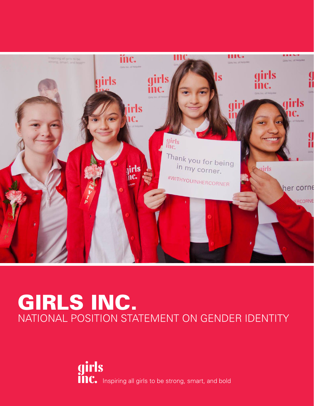

# GIRLS INC. NATIONAL POSITION STATEMENT ON GENDER IDENTITY

girls<br>Inc. [Inspiring all girls to be strong, smart, and bold](www.girlsinc.org)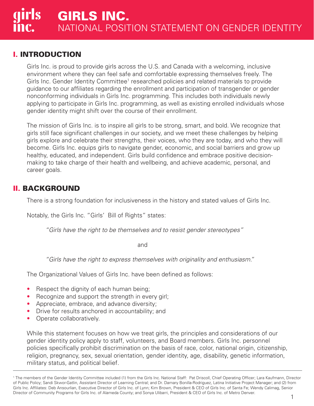# I. INTRODUCTION

Girls Inc. is proud to provide girls across the U.S. and Canada with a welcoming, inclusive environment where they can feel safe and comfortable expressing themselves freely. The Girls Inc. Gender Identity Committee<sup>1</sup> researched policies and related materials to provide guidance to our affiliates regarding the enrollment and participation of transgender or gender nonconforming individuals in Girls Inc. programming. This includes both individuals newly applying to participate in Girls Inc. programming, as well as existing enrolled individuals whose gender identity might shift over the course of their enrollment.

The mission of Girls Inc. is to inspire all girls to be strong, smart, and bold. We recognize that girls still face significant challenges in our society, and we meet these challenges by helping girls explore and celebrate their strengths, their voices, who they are today, and who they will become. Girls Inc. equips girls to navigate gender, economic, and social barriers and grow up healthy, educated, and independent. Girls build confidence and embrace positive decisionmaking to take charge of their health and wellbeing, and achieve academic, personal, and career goals.

# II. BACKGROUND

There is a strong foundation for inclusiveness in the history and stated values of Girls Inc.

Notably, the Girls Inc. "Girls' Bill of Rights" states:

*"Girls have the right to be themselves and to resist gender stereotypes"* 

and

*"Girls have the right to express themselves with originality and enthusiasm."* 

The Organizational Values of Girls Inc. have been defined as follows:

- Respect the dignity of each human being;
- Recognize and support the strength in every girl;
- Appreciate, embrace, and advance diversity;
- Drive for results anchored in accountability; and
- Operate collaboratively.

While this statement focuses on how we treat girls, the principles and considerations of our gender identity policy apply to staff, volunteers, and Board members. Girls Inc. personnel policies specifically prohibit discrimination on the basis of race, color, national origin, citizenship, religion, pregnancy, sex, sexual orientation, gender identity, age, disability, genetic information, military status, and political belief.

<sup>&</sup>lt;sup>1</sup> The members of the Gender Identity Committee included (1) from the Girls Inc. National Staff: Pat Driscoll, Chief Operating Officer; Lara Kaufmann, Director of Public Policy; Sandi Skwor-Gatlin, Assistant Director of Learning Central; and Dr. Damary Bonilla-Rodriguez, Latina Initiative Project Manager; and (2) from Girls Inc. Affiliates: Deb Ansourlian, Executive Director of Girls Inc. of Lynn; Kim Brown, President & CEO of Girls Inc. of Santa Fe; Wendy Calimag, Senior Director of Community Programs for Girls Inc. of Alameda County; and Sonya Ulibarri, President & CEO of Girls Inc. of Metro Denver.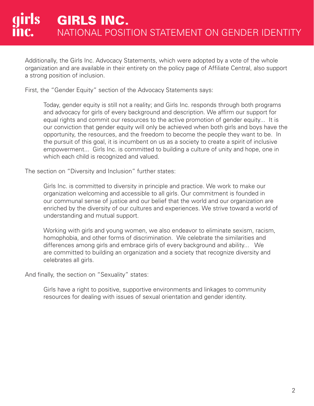Additionally, the Girls Inc. Advocacy Statements, which were adopted by a vote of the whole organization and are available in their entirety on the policy page of Affiliate Central, also support a strong position of inclusion.

First, the "Gender Equity" section of the Advocacy Statements says:

Today, gender equity is still not a reality; and Girls Inc. responds through both programs and advocacy for girls of every background and description. We affirm our support for equal rights and commit our resources to the active promotion of gender equity... It is our conviction that gender equity will only be achieved when both girls and boys have the opportunity, the resources, and the freedom to become the people they want to be. In the pursuit of this goal, it is incumbent on us as a society to create a spirit of inclusive empowerment... Girls Inc. is committed to building a culture of unity and hope, one in which each child is recognized and valued.

The section on "Diversity and Inclusion" further states:

Girls Inc. is committed to diversity in principle and practice. We work to make our organization welcoming and accessible to all girls. Our commitment is founded in our communal sense of justice and our belief that the world and our organization are enriched by the diversity of our cultures and experiences. We strive toward a world of understanding and mutual support.

Working with girls and young women, we also endeavor to eliminate sexism, racism, homophobia, and other forms of discrimination. We celebrate the similarities and differences among girls and embrace girls of every background and ability... We are committed to building an organization and a society that recognize diversity and celebrates all girls.

And finally, the section on "Sexuality" states:

Girls have a right to positive, supportive environments and linkages to community resources for dealing with issues of sexual orientation and gender identity.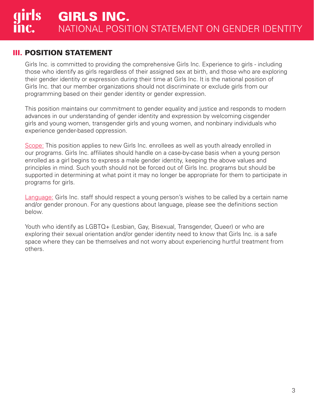# III. POSITION STATEMENT

Girls Inc. is committed to providing the comprehensive Girls Inc. Experience to girls - including those who identify as girls regardless of their assigned sex at birth, and those who are exploring their gender identity or expression during their time at Girls Inc. It is the national position of Girls Inc. that our member organizations should not discriminate or exclude girls from our programming based on their gender identity or gender expression.

This position maintains our commitment to gender equality and justice and responds to modern advances in our understanding of gender identity and expression by welcoming cisgender girls and young women, transgender girls and young women, and nonbinary individuals who experience gender-based oppression.

Scope: This position applies to new Girls Inc. enrollees as well as youth already enrolled in our programs. Girls Inc. affiliates should handle on a case-by-case basis when a young person enrolled as a girl begins to express a male gender identity, keeping the above values and principles in mind. Such youth should not be forced out of Girls Inc. programs but should be supported in determining at what point it may no longer be appropriate for them to participate in programs for girls.

Language: Girls Inc. staff should respect a young person's wishes to be called by a certain name and/or gender pronoun. For any questions about language, please see the definitions section below.

Youth who identify as LGBTQ+ (Lesbian, Gay, Bisexual, Transgender, Queer) or who are exploring their sexual orientation and/or gender identity need to know that Girls Inc. is a safe space where they can be themselves and not worry about experiencing hurtful treatment from others.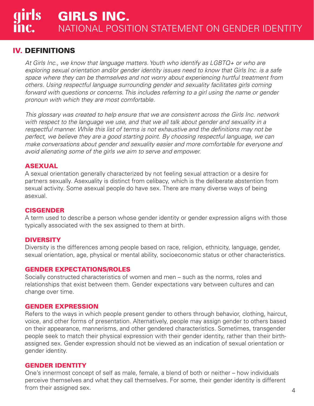# GIRLS INC. NATIONAL POSITION STATEMENT ON GENDER IDENTITY

# IV. DEFINITIONS

*At Girls Inc., we know that language matters. Youth who identify as LGBTQ+ or who are exploring sexual orientation and/or gender identity issues need to know that Girls Inc. is a safe space where they can be themselves and not worry about experiencing hurtful treatment from others. Using respectful language surrounding gender and sexuality facilitates girls coming forward with questions or concerns. This includes referring to a girl using the name or gender pronoun with which they are most comfortable.* 

*This glossary was created to help ensure that we are consistent across the Girls Inc. network with respect to the language we use, and that we all talk about gender and sexuality in a*  respectful manner. While this list of terms is not exhaustive and the definitions may not be *perfect, we believe they are a good starting point. By choosing respectful language, we can make conversations about gender and sexuality easier and more comfortable for everyone and avoid alienating some of the girls we aim to serve and empower.*

#### ASEXUAL

A sexual orientation generally characterized by not feeling sexual attraction or a desire for partners sexually. Asexuality is distinct from celibacy, which is the deliberate abstention from sexual activity. Some asexual people do have sex. There are many diverse ways of being asexual.

#### **CISGENDER**

A term used to describe a person whose gender identity or gender expression aligns with those typically associated with the sex assigned to them at birth.

#### **DIVERSITY**

Diversity is the differences among people based on race, religion, ethnicity, language, gender, sexual orientation, age, physical or mental ability, socioeconomic status or other characteristics.

#### GENDER EXPECTATIONS/ROLES

Socially constructed characteristics of women and men – such as the norms, roles and relationships that exist between them. Gender expectations vary between cultures and can change over time.

#### GENDER EXPRESSION

Refers to the ways in which people present gender to others through behavior, clothing, haircut, voice, and other forms of presentation. Alternatively, people may assign gender to others based on their appearance, mannerisms, and other gendered characteristics. Sometimes, transgender people seek to match their physical expression with their gender identity, rather than their birthassigned sex. Gender expression should not be viewed as an indication of sexual orientation or gender identity.

#### GENDER IDENTITY

One's innermost concept of self as male, female, a blend of both or neither – how individuals perceive themselves and what they call themselves. For some, their gender identity is different from their assigned sex. 4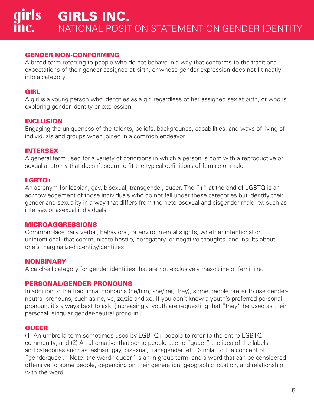#### GENDER NON-CONFORMING

A broad term referring to people who do not behave in a way that conforms to the traditional expectations of their gender assigned at birth, or whose gender expression does not fit neatly into a category.

#### **GIRL**

A girl is a young person who identifies as a girl regardless of her assigned sex at birth, or who is exploring gender identity or expression.

#### INCLUSION

Engaging the uniqueness of the talents, beliefs, backgrounds, capabilities, and ways of living of individuals and groups when joined in a common endeavor.

#### INTERSEX

A general term used for a variety of conditions in which a person is born with a reproductive or sexual anatomy that doesn't seem to fit the typical definitions of female or male.

#### LGBTQ+

An acronym for lesbian, gay, bisexual, transgender, queer. The "+" at the end of LGBTQ is an acknowledgement of those individuals who do not fall under these categories but identify their gender and sexuality in a way that differs from the heterosexual and cisgender majority, such as intersex or asexual individuals.

#### MICROAGGRESSIONS

Commonplace daily verbal, behavioral, or environmental slights, whether intentional or unintentional, that communicate hostile, derogatory, or negative thoughts and insults about one's marginalized identity/identities.

#### NONBINARY

A catch-all category for gender identities that are not exclusively masculine or feminine.

#### PERSONAL/GENDER PRONOUNS

In addition to the traditional pronouns (he/him, she/her, they), some people prefer to use genderneutral pronouns, such as ne, ve, ze/zie and xe. If you don't know a youth's preferred personal pronoun, it's always best to ask. [Increasingly, youth are requesting that "they" be used as their personal, singular gender-neutral pronoun.]

#### **QUEER**

(1) An umbrella term sometimes used by LGBTQ+ people to refer to the entire LGBTQ+ community; and (2) An alternative that some people use to "queer" the idea of the labels and categories such as lesbian, gay, bisexual, transgender, etc. Similar to the concept of "genderqueer." Note: the word "queer" is an in-group term, and a word that can be considered offensive to some people, depending on their generation, geographic location, and relationship with the word.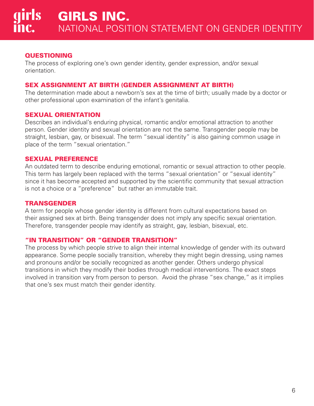#### QUESTIONING

The process of exploring one's own gender identity, gender expression, and/or sexual orientation.

#### SEX ASSIGNMENT AT BIRTH (GENDER ASSIGNMENT AT BIRTH)

The determination made about a newborn's sex at the time of birth; usually made by a doctor or other professional upon examination of the infant's genitalia.

#### SEXUAL ORIENTATION

Describes an individual's enduring physical, romantic and/or emotional attraction to another person. Gender identity and sexual orientation are not the same. Transgender people may be straight, lesbian, gay, or bisexual. The term "sexual identity" is also gaining common usage in place of the term "sexual orientation."

#### SEXUAL PREFERENCE

An outdated term to describe enduring emotional, romantic or sexual attraction to other people. This term has largely been replaced with the terms "sexual orientation" or "sexual identity" since it has become accepted and supported by the scientific community that sexual attraction is not a choice or a "preference" but rather an immutable trait.

#### TRANSGENDER

A term for people whose gender identity is different from cultural expectations based on their assigned sex at birth. Being transgender does not imply any specific sexual orientation. Therefore, transgender people may identify as straight, gay, lesbian, bisexual, etc.

#### "IN TRANSITION" OR "GENDER TRANSITION"

The process by which people strive to align their internal knowledge of gender with its outward appearance. Some people socially transition, whereby they might begin dressing, using names and pronouns and/or be socially recognized as another gender. Others undergo physical transitions in which they modify their bodies through medical interventions. The exact steps involved in transition vary from person to person. Avoid the phrase "sex change," as it implies that one's sex must match their gender identity.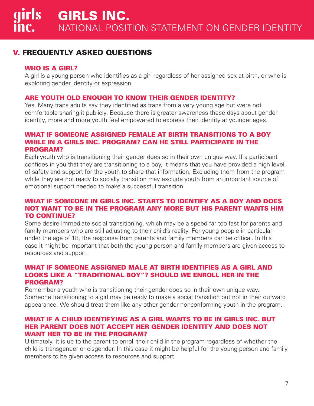# V. FREQUENTLY ASKED QUESTIONS

#### WHO IS A GIRL?

A girl is a young person who identifies as a girl regardless of her assigned sex at birth, or who is exploring gender identity or expression.

#### ARE YOUTH OLD ENOUGH TO KNOW THEIR GENDER IDENTITY?

Yes. Many trans adults say they identified as trans from a very young age but were not comfortable sharing it publicly. Because there is greater awareness these days about gender identity, more and more youth feel empowered to express their identity at younger ages.

#### WHAT IF SOMEONE ASSIGNED FEMALE AT BIRTH TRANSITIONS TO A BOY WHILE IN A GIRLS INC. PROGRAM? CAN HE STILL PARTICIPATE IN THE PROGRAM?

Each youth who is transitioning their gender does so in their own unique way. If a participant confides in you that they are transitioning to a boy, it means that you have provided a high level of safety and support for the youth to share that information. Excluding them from the program while they are not ready to socially transition may exclude youth from an important source of emotional support needed to make a successful transition.

#### WHAT IF SOMEONE IN GIRLS INC. STARTS TO IDENTIFY AS A BOY AND DOES NOT WANT TO BE IN THE PROGRAM ANY MORE BUT HIS PARENT WANTS HIM TO CONTINUE?

Some desire immediate social transitioning, which may be a speed far too fast for parents and family members who are still adjusting to their child's reality. For young people in particular under the age of 18, the response from parents and family members can be critical. In this case it might be important that both the young person and family members are given access to resources and support.

#### WHAT IF SOMEONE ASSIGNED MALE AT BIRTH IDENTIFIES AS A GIRL AND LOOKS LIKE A "TRADITIONAL BOY"? SHOULD WE ENROLL HER IN THE PROGRAM?

Remember a youth who is transitioning their gender does so in their own unique way. Someone transitioning to a girl may be ready to make a social transition but not in their outward appearance. We should treat them like any other gender nonconforming youth in the program.

#### WHAT IF A CHILD IDENTIFYING AS A GIRL WANTS TO BE IN GIRLS INC. BUT HER PARENT DOES NOT ACCEPT HER GENDER IDENTITY AND DOES NOT WANT HER TO BE IN THE PROGRAM?

Ultimately, it is up to the parent to enroll their child in the program regardless of whether the child is transgender or cisgender. In this case it might be helpful for the young person and family members to be given access to resources and support.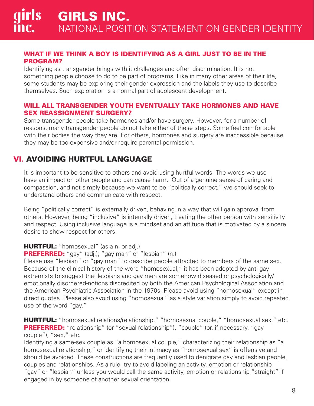#### WHAT IF WE THINK A BOY IS IDENTIFYING AS A GIRL JUST TO BE IN THE PROGRAM?

Identifying as transgender brings with it challenges and often discrimination. It is not something people choose to do to be part of programs. Like in many other areas of their life, some students may be exploring their gender expression and the labels they use to describe themselves. Such exploration is a normal part of adolescent development.

#### WILL ALL TRANSGENDER YOUTH EVENTUALLY TAKE HORMONES AND HAVE SEX REASSIGNMENT SURGERY?

Some transgender people take hormones and/or have surgery. However, for a number of reasons, many transgender people do not take either of these steps. Some feel comfortable with their bodies the way they are. For others, hormones and surgery are inaccessible because they may be too expensive and/or require parental permission.

# VI. AVOIDING HURTFUL LANGUAGE

It is important to be sensitive to others and avoid using hurtful words. The words we use have an impact on other people and can cause harm. Out of a genuine sense of caring and compassion, and not simply because we want to be "politically correct," we should seek to understand others and communicate with respect.

Being "politically correct" is externally driven, behaving in a way that will gain approval from others. However, being "inclusive" is internally driven, treating the other person with sensitivity and respect. Using inclusive language is a mindset and an attitude that is motivated by a sincere desire to show respect for others.

#### HURTFUL: "homosexual" (as a n. or adj.)

#### PREFERRED: "gay" (adj.); "gay man" or "lesbian" (n.)

Please use "lesbian" or "gay man" to describe people attracted to members of the same sex. Because of the clinical history of the word "homosexual," it has been adopted by anti-gay extremists to suggest that lesbians and gay men are somehow diseased or psychologically/ emotionally disordered-notions discredited by both the American Psychological Association and the American Psychiatric Association in the 1970s. Please avoid using "homosexual" except in direct quotes. Please also avoid using "homosexual" as a style variation simply to avoid repeated use of the word "gay."

HURTFUL: "homosexual relations/relationship," "homosexual couple," "homosexual sex," etc. PREFERRED: "relationship" (or "sexual relationship"), "couple" (or, if necessary, "gay couple"), "sex," etc.

Identifying a same-sex couple as "a homosexual couple," characterizing their relationship as "a homosexual relationship," or identifying their intimacy as "homosexual sex" is offensive and should be avoided. These constructions are frequently used to denigrate gay and lesbian people, couples and relationships. As a rule, try to avoid labeling an activity, emotion or relationship "gay" or "lesbian" unless you would call the same activity, emotion or relationship "straight" if engaged in by someone of another sexual orientation.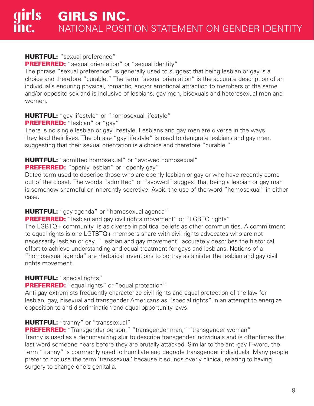# irls GIRLS INC. NATIONAL POSITION STATEMENT ON GENDER IDENTITY

#### **HURTFUL:** "sexual preference"

**PREFERRED:** "sexual orientation" or "sexual identity"

The phrase "sexual preference" is generally used to suggest that being lesbian or gay is a choice and therefore "curable." The term "sexual orientation" is the accurate description of an individual's enduring physical, romantic, and/or emotional attraction to members of the same and/or opposite sex and is inclusive of lesbians, gay men, bisexuals and heterosexual men and women.

**HURTFUL:** "gay lifestyle" or "homosexual lifestyle"

PREFERRED: "lesbian" or "gay"

There is no single lesbian or gay lifestyle. Lesbians and gay men are diverse in the ways they lead their lives. The phrase "gay lifestyle" is used to denigrate lesbians and gay men, suggesting that their sexual orientation is a choice and therefore "curable."

#### **HURTFUL:** "admitted homosexual" or "avowed homosexual"

#### PREFERRED: "openly lesbian" or "openly gay"

Dated term used to describe those who are openly lesbian or gay or who have recently come out of the closet. The words "admitted" or "avowed" suggest that being a lesbian or gay man is somehow shameful or inherently secretive. Avoid the use of the word "homosexual" in either case.

#### **HURTFUL:** "gay agenda" or "homosexual agenda"

**PREFERRED:** "lesbian and gay civil rights movement" or "LGBTQ rights"

The LGBTQ+ community is as diverse in political beliefs as other communities. A commitment to equal rights is one LGTBTQ+ members share with civil rights advocates who are not necessarily lesbian or gay. "Lesbian and gay movement" accurately describes the historical effort to achieve understanding and equal treatment for gays and lesbians. Notions of a "homosexual agenda" are rhetorical inventions to portray as sinister the lesbian and gay civil rights movement.

#### **HURTFUL:** "special rights"

**PREFERRED:** "equal rights" or "equal protection"

Anti-gay extremists frequently characterize civil rights and equal protection of the law for lesbian, gay, bisexual and transgender Americans as "special rights" in an attempt to energize opposition to anti-discrimination and equal opportunity laws.

#### HURTFUL: "tranny" or "transsexual"

PREFERRED: "Transgender person," "transgender man," "transgender woman" Tranny is used as a dehumanizing slur to describe transgender individuals and is oftentimes the last word someone hears before they are brutally attacked. Similar to the anti-gay F-word, the term "tranny" is commonly used to humiliate and degrade transgender individuals. Many people prefer to not use the term 'transsexual' because it sounds overly clinical, relating to having surgery to change one's genitalia.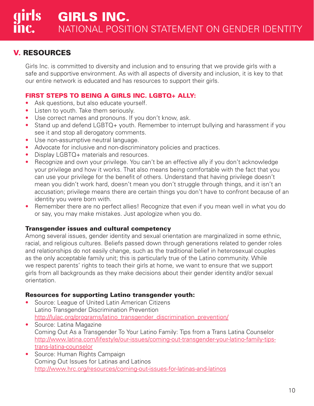# V. RESOURCES

Girls Inc. is committed to diversity and inclusion and to ensuring that we provide girls with a safe and supportive environment. As with all aspects of diversity and inclusion, it is key to that our entire network is educated and has resources to support their girls.

#### FIRST STEPS TO BEING A GIRLS INC. LGBTQ+ ALLY:

- Ask questions, but also educate yourself.
- Listen to youth. Take them seriously.
- Use correct names and pronouns. If you don't know, ask.
- Stand up and defend LGBTQ+ youth. Remember to interrupt bullying and harassment if you see it and stop all derogatory comments.
- Use non-assumptive neutral language.
- Advocate for inclusive and non-discriminatory policies and practices.
- Display LGBTQ+ materials and resources.
- Recognize and own your privilege. You can't be an effective ally if you don't acknowledge your privilege and how it works. That also means being comfortable with the fact that you can use your privilege for the benefit of others. Understand that having privilege doesn't mean you didn't work hard, doesn't mean you don't struggle through things, and it isn't an accusation; privilege means there are certain things you don't have to confront because of an identity you were born with.
- Remember there are no perfect allies! Recognize that even if you mean well in what you do or say, you may make mistakes. Just apologize when you do.

#### Transgender issues and cultural competency

Among several issues, gender identity and sexual orientation are marginalized in some ethnic, racial, and religious cultures. Beliefs passed down through generations related to gender roles and relationships do not easily change, such as the traditional belief in heterosexual couples as the only acceptable family unit; this is particularly true of the Latino community. While we respect parents' rights to teach their girls at home, we want to ensure that we support girls from all backgrounds as they make decisions about their gender identity and/or sexual orientation.

#### Resources for supporting Latino transgender youth:

- Source: League of United Latin American Citizens Latino Transgender Discrimination Prevention [http://lulac.org/programs/latino\\_transgender\\_discrimination\\_prevention/](http://lulac.org/programs/latino_transgender_discrimination_prevention/)
- Source: Latina Magazine Coming Out As a Transgender To Your Latino Family: Tips from a Trans Latina Counselor [http://www.latina.com/lifestyle/our-issues/coming-out-transgender-your-latino-family-tips](http://www.latina.com/lifestyle/our-issues/coming-out-transgender-your-latino-family-tips-trans-latina-counselor)trans-latina-counselor
- Source: Human Rights Campaign Coming Out Issues for Latinas and Latinos <http://www.hrc.org/resources/coming-out-issues-for-latinas-and-latinos>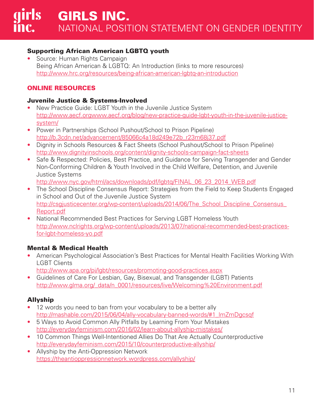#### Supporting African American LGBTQ youth

Source: Human Rights Campaign Being African American & LGBTQ: An Introduction (links to more resources) <http://www.hrc.org/resources/being-african-american-lgbtq-an-introduction>

## ONLINE RESOURCES

#### Juvenile Justice & Systems-Involved

- New Practice Guide: LGBT Youth in the Juvenile Justice System [http://www.aecf.orgwww.aecf.org/blog/new-practice-guide-lgbt-youth-in-the-juvenile-justice](http://www.aecf.orgwww.aecf.org/blog/new-practice-guide-lgbt-youth-in-the-juvenile-justice-system/)system/
- Power in Partnerships (School Pushout/School to Prison Pipeline) [http://b.3cdn.net/advancement/85066c4a18d249e72b\\_r23m68j37.pdf](http://b.3cdn.net/advancement/85066c4a18d249e72b_r23m68j37.pdf)
- Dignity in Schools Resources & Fact Sheets (School Pushout/School to Prison Pipeline) <http://www.dignityinschools.org/content/dignity-schools-campaign-fact-sheets>
- Safe & Respected: Policies, Best Practice, and Guidance for Serving Transgender and Gender Non-Conforming Children & Youth Involved in the Child Welfare, Detention, and Juvenile Justice Systems

[http://www.nyc.gov/html/acs/downloads/pdf/lgbtq/FINAL\\_06\\_23\\_2014\\_WEB.pdf](http://www.nyc.gov/html/acs/downloads/pdf/lgbtq/FINAL_06_23_2014_WEB.pdf)

- The School Discipline Consensus Report: Strategies from the Field to Keep Students Engaged in School and Out of the Juvenile Justice System http://csgjusticecenter.org/wp-content/uploads/2014/06/The School Discipline Consensus Report.pdf
- National Recommended Best Practices for Serving LGBT Homeless Youth [http://www.nclrights.org/wp-content/uploads/2013/07/national-recommended-best-practices](http://www.nclrights.org/wp-content/uploads/2013/07/national-recommended-best-practices-for-lgbt-homeless-yo.pdf)for-lgbt-homeless-yo.pdf

#### Mental & Medical Health

• American Psychological Association's Best Practices for Mental Health Facilities Working With LGBT Clients

<http://www.apa.org/pi/lgbt/resources/promoting-good-practices.aspx>

• Guidelines of Care For Lesbian, Gay, Bisexual, and Transgender (LGBT) Patients [http://www.glma.org/\\_data/n\\_0001/resources/live/Welcoming%20Environment.pdf](http://www.glma.org/_data/n_0001/resources/live/Welcoming%20Environment.pdf)

## Allyship

- 12 words you need to ban from your vocabulary to be a better ally [http://mashable.com/2015/06/04/ally-vocabulary-banned-words/#1\\_lmZmDgcsqf](http://mashable.com/2015/06/04/ally-vocabulary-banned-words/#1_lmZmDgcsqf)
- 5 Ways to Avoid Common Ally Pitfalls by Learning From Your Mistakes <http://everydayfeminism.com/2016/02/learn-about-allyship-mistakes/>
- 10 Common Things Well-Intentioned Allies Do That Are Actually Counterproductive <http://everydayfeminism.com/2015/10/counterproductive-allyship/>
- Allyship by the Anti-Oppression Network <https://theantioppressionnetwork.wordpress.com/allyship/>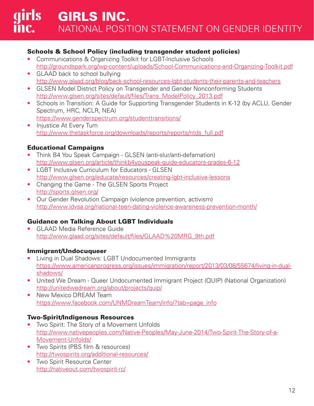#### Schools & School Policy (including transgender student policies)

- Communications & Organizing Toolkit for LGBT-Inclusive Schools <http://groundspark.org/wp-content/uploads/School-Communications-and-Organizing-Toolkit.pdf>
- GLAAD back to school bullying <http://www.glaad.org/blog/back-school-resources-lgbt-students-their-parents-and-teachers>
- GLSEN Model District Policy on Transgender and Gender Nonconforming Students [http://www.glsen.org/sites/default/files/Trans\\_ModelPolicy\\_2013.pdf](http://www.glsen.org/sites/default/files/Trans_ModelPolicy_2013.pdf)
- Schools in Transition: A Guide for Supporting Transgender Students in K-12 (by ACLU, Gender Spectrum, HRC, NCLR, NEA) <https://www.genderspectrum.org/studenttransitions/>
- Injustice At Every Turn [http://www.thetaskforce.org/downloads/reports/reports/ntds\\_full.pdf](http://www.thetaskforce.org/downloads/reports/reports/ntds_full.pdf)

#### Educational Campaigns

- Think B4 You Speak Campaign GLSEN (anti-slur/anti-defamation) <http://www.glsen.org/article/thinkb4youspeak-guide-educators-grades-6-12>
- LGBT Inclusive Curriculum for Educators GLSEN <http://www.glsen.org/educate/resources/creating-lgbt-inclusive-lessons>
- Changing the Game The GLSEN Sports Project <http://sports.glsen.org/>
- Our Gender Revolution Campaign (violence prevention, activism) <http://www.idvsa.org/national-teen-dating-violence-awareness-prevention-month/>

#### Guidance on Talking About LGBT Individuals

• GLAAD Media Reference Guide [http://www.glaad.org/sites/default/files/GLAAD%20MRG\\_9th.pdf](http://www.glaad.org/sites/default/files/GLAAD%20MRG_9th.pdf)

#### Immigrant/Undocuqueer

- Living in Dual Shadows: LGBT Undocumented Immigrants [https://www.americanprogress.org/issues/immigration/report/2013/03/08/55674/living-in-dual](https://www.americanprogress.org/issues/immigration/report/2013/03/08/55674/living-in-dual-shadows/)shadows/
- United We Dream Queer Undocumented Immigrant Project (QUIP) (National Organization) <http://unitedwedream.org/about/projects/quip/>
- New Mexico DREAM Team [https://www.facebook.com/UNMDreamTeam/info/?tab=page\\_info](https://www.facebook.com/UNMDreamTeam/info/?tab=page_info)

#### Two-Spirit/Indigenous Resources

- Two Spirit: The Story of a Movement Unfolds [http://www.nativepeoples.com/Native-Peoples/May-June-2014/Two-Spirit-The-Story-of-a-](http://www.nativepeoples.com/Native-Peoples/May-June-2014/Two-Spirit-The-Story-of-a-Movement-Unfolds/)Movement-Unfolds/
- Two Spirits (PBS film & resources) <http://twospirits.org/additional-resources/>
- Two Spirit Resource Center <http://nativeout.com/twospirit-rc/>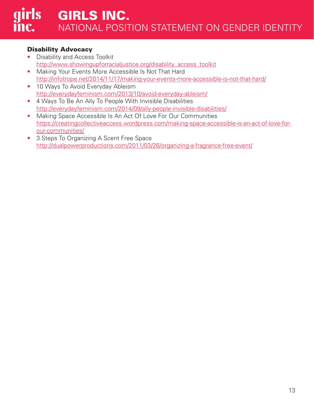# girls GIRLS INC. NATIONAL POSITION STATEMENT ON GENDER IDENTITY

#### Disability Advocacy

- Disability and Access Toolkit [http://www.showingupforracialjustice.org/disability\\_access\\_toolkit](http://www.showingupforracialjustice.org/disability_access_toolkit)
- Making Your Events More Accessible Is Not That Hard <http://infotrope.net/2014/11/17/making-your-events-more-accessible-is-not-that-hard/>
- 10 Ways To Avoid Everyday Ableism <http://everydayfeminism.com/2013/10/avoid-everyday-ableism/>
- 4 Ways To Be An Ally To People With Invisible Disabilities <http://everydayfeminism.com/2014/09/ally-people-invisible-disabilities/>
- Making Space Accessible Is An Act Of Love For Our Communities [https://creatingcollectiveaccess.wordpress.com/making-space-accessible-is-an-act-of-love-for](https://creatingcollectiveaccess.wordpress.com/making-space-accessible-is-an-act-of-love-for-our-communities/)our-communities/
- 3 Steps To Organizing A Scent Free Space <http://dualpowerproductions.com/2011/03/26/organizing-a-fragrance-free-event/>